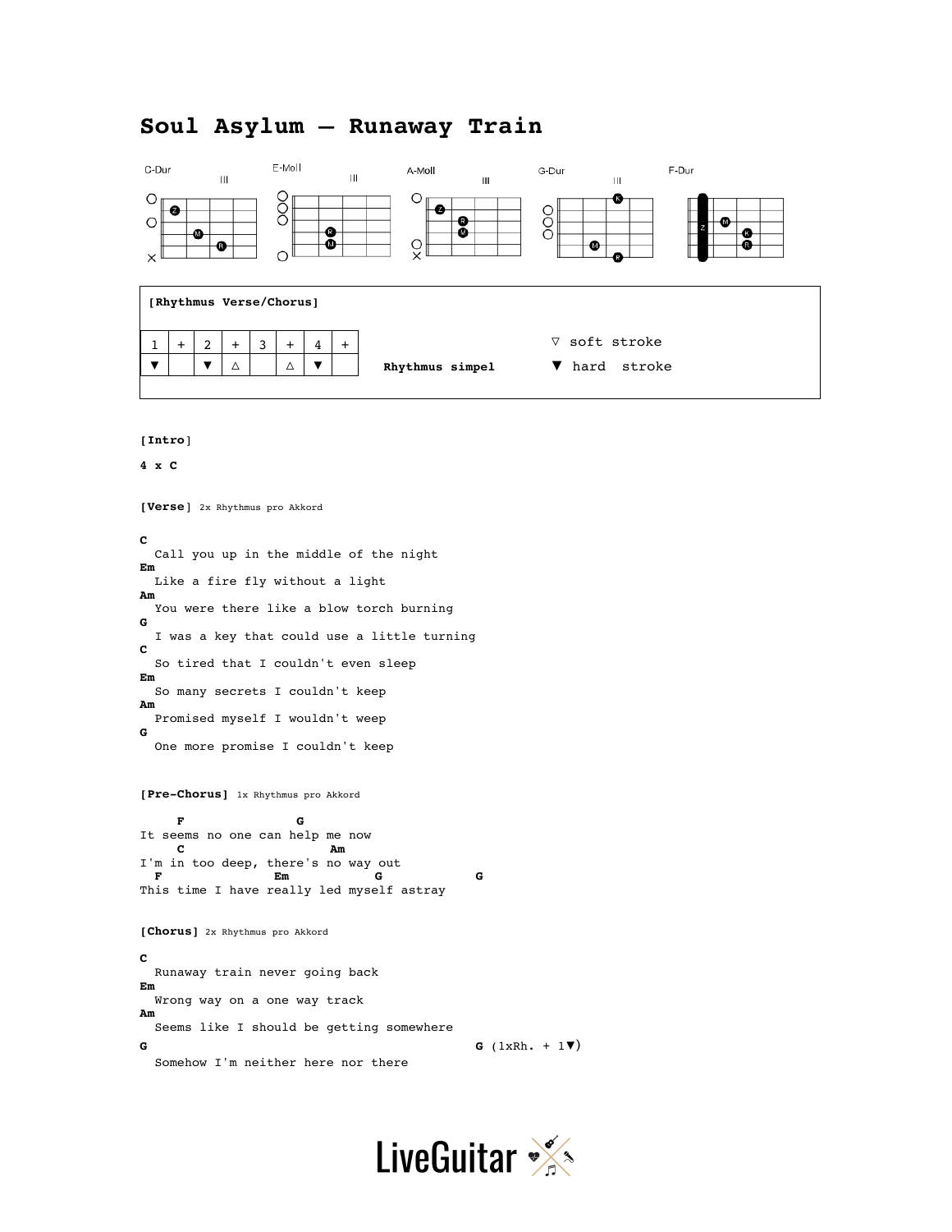# **Soul Asylum – Runaway Train**



**[Intro**]

**4 x C** 

**[Verse**] 2x Rhythmus pro Akkord **C**  Call you up in the middle of the night **Em**  Like a fire fly without a light **Am**  You were there like a blow torch burning **G**  I was a key that could use a little turning **C**  So tired that I couldn't even sleep **Em**  So many secrets I couldn't keep **Am**  Promised myself I wouldn't weep **G**  One more promise I couldn't keep

**[Pre-Chorus]** 1x Rhythmus pro Akkord

**F** G It seems no one can help me now **C Am** I'm in too deep, there's no way out  $\mathbf{F}$  and  $\mathbf{E}$  m  **F Em G G** This time I have really led myself astray

**[Chorus]** 2x Rhythmus pro Akkord

**C**  Runaway train never going back **Em**  Wrong way on a one way track **Am**  Seems like I should be getting somewhere **G G** (1xRh. + 1▼) Somehow I'm neither here nor there